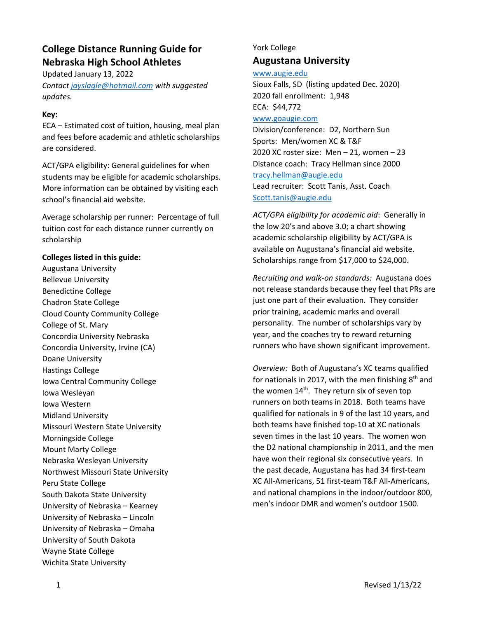# **College Distance Running Guide for Nebraska High School Athletes**

Updated January 13, 2022 *Contact jayslagle@hotmail.com with suggested updates.* 

### **Key:**

ECA – Estimated cost of tuition, housing, meal plan and fees before academic and athletic scholarships are considered.

ACT/GPA eligibility: General guidelines for when students may be eligible for academic scholarships. More information can be obtained by visiting each school's financial aid website.

Average scholarship per runner: Percentage of full tuition cost for each distance runner currently on scholarship

#### **Colleges listed in this guide:**

Augustana University Bellevue University Benedictine College Chadron State College Cloud County Community College College of St. Mary Concordia University Nebraska Concordia University, Irvine (CA) Doane University Hastings College Iowa Central Community College Iowa Wesleyan Iowa Western Midland University Missouri Western State University Morningside College Mount Marty College Nebraska Wesleyan University Northwest Missouri State University Peru State College South Dakota State University University of Nebraska – Kearney University of Nebraska – Lincoln University of Nebraska – Omaha University of South Dakota Wayne State College Wichita State University

### York College **Augustana University**

www.augie.edu

Sioux Falls, SD (listing updated Dec. 2020) 2020 fall enrollment: 1,948 ECA: \$44,772 www.goaugie.com Division/conference: D2, Northern Sun Sports: Men/women XC & T&F 2020 XC roster size: Men – 21, women – 23 Distance coach: Tracy Hellman since 2000 tracy.hellman@augie.edu Lead recruiter: Scott Tanis, Asst. Coach Scott.tanis@augie.edu

*ACT/GPA eligibility for academic aid*: Generally in the low 20's and above 3.0; a chart showing academic scholarship eligibility by ACT/GPA is available on Augustana's financial aid website. Scholarships range from \$17,000 to \$24,000.

*Recruiting and walk‐on standards:* Augustana does not release standards because they feel that PRs are just one part of their evaluation. They consider prior training, academic marks and overall personality. The number of scholarships vary by year, and the coaches try to reward returning runners who have shown significant improvement.

*Overview:* Both of Augustana's XC teams qualified for nationals in 2017, with the men finishing  $8<sup>th</sup>$  and the women 14<sup>th</sup>. They return six of seven top runners on both teams in 2018. Both teams have qualified for nationals in 9 of the last 10 years, and both teams have finished top‐10 at XC nationals seven times in the last 10 years. The women won the D2 national championship in 2011, and the men have won their regional six consecutive years. In the past decade, Augustana has had 34 first‐team XC All‐Americans, 51 first‐team T&F All‐Americans, and national champions in the indoor/outdoor 800, men's indoor DMR and women's outdoor 1500.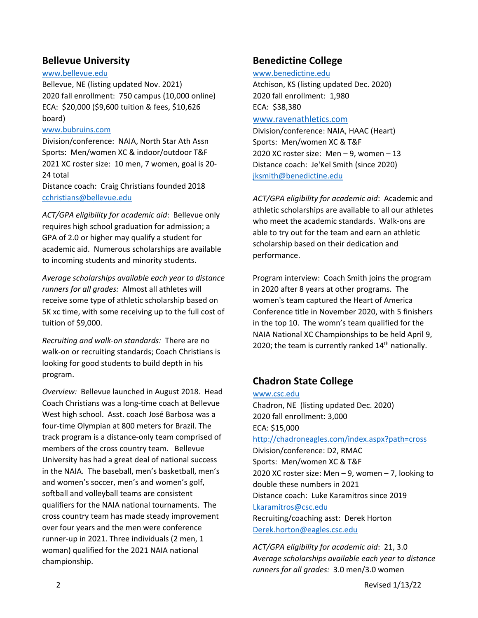### **Bellevue University**

#### www.bellevue.edu

Bellevue, NE (listing updated Nov. 2021) 2020 fall enrollment: 750 campus (10,000 online) ECA: \$20,000 (\$9,600 tuition & fees, \$10,626 board)

#### www.bubruins.com

Division/conference: NAIA, North Star Ath Assn Sports: Men/women XC & indoor/outdoor T&F 2021 XC roster size: 10 men, 7 women, goal is 20‐ 24 total Distance coach: Craig Christians founded 2018

cchristians@bellevue.edu

*ACT/GPA eligibility for academic aid*: Bellevue only requires high school graduation for admission; a GPA of 2.0 or higher may qualify a student for academic aid. Numerous scholarships are available to incoming students and minority students.

*Average scholarships available each year to distance runners for all grades:* Almost all athletes will receive some type of athletic scholarship based on 5K xc time, with some receiving up to the full cost of tuition of \$9,000.

*Recruiting and walk‐on standards:* There are no walk-on or recruiting standards; Coach Christians is looking for good students to build depth in his program.

*Overview:* Bellevue launched in August 2018. Head Coach Christians was a long‐time coach at Bellevue West high school. Asst. coach José Barbosa was a four‐time Olympian at 800 meters for Brazil. The track program is a distance‐only team comprised of members of the cross country team. Bellevue University has had a great deal of national success in the NAIA. The baseball, men's basketball, men's and women's soccer, men's and women's golf, softball and volleyball teams are consistent qualifiers for the NAIA national tournaments. The cross country team has made steady improvement over four years and the men were conference runner‐up in 2021. Three individuals (2 men, 1 woman) qualified for the 2021 NAIA national championship.

### **Benedictine College**

www.benedictine.edu Atchison, KS (listing updated Dec. 2020) 2020 fall enrollment: 1,980 ECA: \$38,380 www.ravenathletics.com

Division/conference: NAIA, HAAC (Heart) Sports: Men/women XC & T&F 2020 XC roster size: Men – 9, women – 13 Distance coach: Je'Kel Smith (since 2020) jksmith@benedictine.edu

*ACT/GPA eligibility for academic aid*: Academic and athletic scholarships are available to all our athletes who meet the academic standards. Walk‐ons are able to try out for the team and earn an athletic scholarship based on their dedication and performance.

Program interview: Coach Smith joins the program in 2020 after 8 years at other programs. The women's team captured the Heart of America Conference title in November 2020, with 5 finishers in the top 10. The womn's team qualified for the NAIA National XC Championships to be held April 9, 2020; the team is currently ranked  $14<sup>th</sup>$  nationally.

## **Chadron State College**

www.csc.edu Chadron, NE (listing updated Dec. 2020) 2020 fall enrollment: 3,000 ECA: \$15,000 http://chadroneagles.com/index.aspx?path=cross Division/conference: D2, RMAC Sports: Men/women XC & T&F 2020 XC roster size: Men – 9, women – 7, looking to double these numbers in 2021 Distance coach: Luke Karamitros since 2019 Lkaramitros@csc.edu Recruiting/coaching asst: Derek Horton Derek.horton@eagles.csc.edu

*ACT/GPA eligibility for academic aid*: 21, 3.0 *Average scholarships available each year to distance runners for all grades:* 3.0 men/3.0 women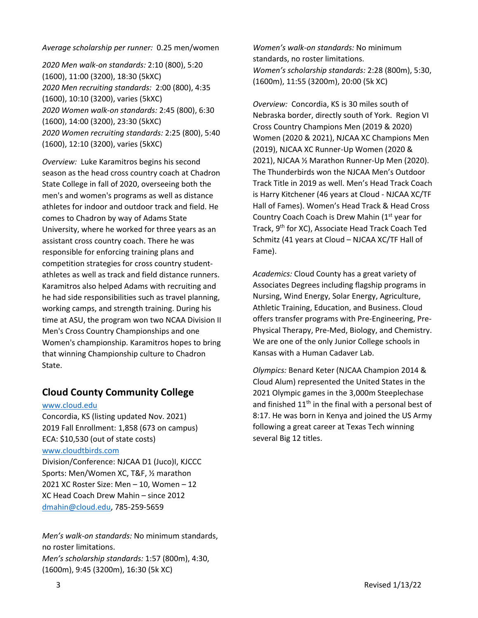#### *Average scholarship per runner:* 0.25 men/women

*2020 Men walk‐on standards:* 2:10 (800), 5:20 (1600), 11:00 (3200), 18:30 (5kXC) *2020 Men recruiting standards:* 2:00 (800), 4:35 (1600), 10:10 (3200), varies (5kXC) *2020 Women walk‐on standards:* 2:45 (800), 6:30 (1600), 14:00 (3200), 23:30 (5kXC) *2020 Women recruiting standards:* 2:25 (800), 5:40 (1600), 12:10 (3200), varies (5kXC)

*Overview:* Luke Karamitros begins his second season as the head cross country coach at Chadron State College in fall of 2020, overseeing both the men's and women's programs as well as distance athletes for indoor and outdoor track and field. He comes to Chadron by way of Adams State University, where he worked for three years as an assistant cross country coach. There he was responsible for enforcing training plans and competition strategies for cross country student‐ athletes as well as track and field distance runners. Karamitros also helped Adams with recruiting and he had side responsibilities such as travel planning, working camps, and strength training. During his time at ASU, the program won two NCAA Division II Men's Cross Country Championships and one Women's championship. Karamitros hopes to bring that winning Championship culture to Chadron State.

## **Cloud County Community College**

#### www.cloud.edu

Concordia, KS (listing updated Nov. 2021) 2019 Fall Enrollment: 1,858 (673 on campus) ECA: \$10,530 (out of state costs) www.cloudtbirds.com Division/Conference: NJCAA D1 (Juco)I, KJCCC Sports: Men/Women XC, T&F, ½ marathon 2021 XC Roster Size: Men – 10, Women – 12

XC Head Coach Drew Mahin – since 2012 dmahin@cloud.edu, 785‐259‐5659

*Men's walk‐on standards:* No minimum standards, no roster limitations. *Men's scholarship standards:* 1:57 (800m), 4:30, (1600m), 9:45 (3200m), 16:30 (5k XC)

*Women's walk‐on standards:* No minimum standards, no roster limitations. *Women's scholarship standards:* 2:28 (800m), 5:30, (1600m), 11:55 (3200m), 20:00 (5k XC)

*Overview:* Concordia, KS is 30 miles south of Nebraska border, directly south of York. Region VI Cross Country Champions Men (2019 & 2020) Women (2020 & 2021), NJCAA XC Champions Men (2019), NJCAA XC Runner‐Up Women (2020 & 2021), NJCAA ½ Marathon Runner‐Up Men (2020). The Thunderbirds won the NJCAA Men's Outdoor Track Title in 2019 as well. Men's Head Track Coach is Harry Kitchener (46 years at Cloud ‐ NJCAA XC/TF Hall of Fames). Women's Head Track & Head Cross Country Coach Coach is Drew Mahin (1<sup>st</sup> year for Track, 9th for XC), Associate Head Track Coach Ted Schmitz (41 years at Cloud – NJCAA XC/TF Hall of Fame).

*Academics:* Cloud County has a great variety of Associates Degrees including flagship programs in Nursing, Wind Energy, Solar Energy, Agriculture, Athletic Training, Education, and Business. Cloud offers transfer programs with Pre‐Engineering, Pre‐ Physical Therapy, Pre‐Med, Biology, and Chemistry. We are one of the only Junior College schools in Kansas with a Human Cadaver Lab.

*Olympics:* Benard Keter (NJCAA Champion 2014 & Cloud Alum) represented the United States in the 2021 Olympic games in the 3,000m Steeplechase and finished  $11<sup>th</sup>$  in the final with a personal best of 8:17. He was born in Kenya and joined the US Army following a great career at Texas Tech winning several Big 12 titles.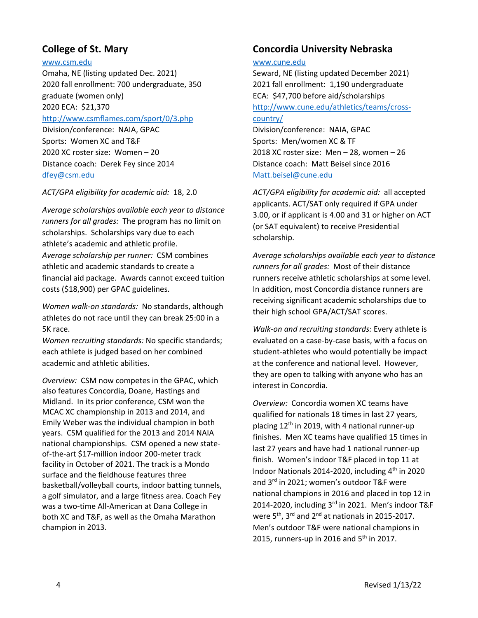## **College of St. Mary**

### www.csm.edu

Omaha, NE (listing updated Dec. 2021) 2020 fall enrollment: 700 undergraduate, 350 graduate (women only) 2020 ECA: \$21,370 http://www.csmflames.com/sport/0/3.php Division/conference: NAIA, GPAC Sports: Women XC and T&F 2020 XC roster size: Women – 20 Distance coach: Derek Fey since 2014 dfey@csm.edu

### *ACT/GPA eligibility for academic aid:* 18, 2.0

*Average scholarships available each year to distance runners for all grades:* The program has no limit on scholarships. Scholarships vary due to each athlete's academic and athletic profile. *Average scholarship per runner:* CSM combines athletic and academic standards to create a financial aid package. Awards cannot exceed tuition costs (\$18,900) per GPAC guidelines.

*Women walk‐on standards:* No standards, although athletes do not race until they can break 25:00 in a 5K race.

*Women recruiting standards:* No specific standards; each athlete is judged based on her combined academic and athletic abilities.

*Overview:* CSM now competes in the GPAC, which also features Concordia, Doane, Hastings and Midland. In its prior conference, CSM won the MCAC XC championship in 2013 and 2014, and Emily Weber was the individual champion in both years. CSM qualified for the 2013 and 2014 NAIA national championships. CSM opened a new state‐ of‐the‐art \$17‐million indoor 200‐meter track facility in October of 2021. The track is a Mondo surface and the fieldhouse features three basketball/volleyball courts, indoor batting tunnels, a golf simulator, and a large fitness area. Coach Fey was a two-time All-American at Dana College in both XC and T&F, as well as the Omaha Marathon champion in 2013.

### **Concordia University Nebraska**

### www.cune.edu

Seward, NE (listing updated December 2021) 2021 fall enrollment: 1,190 undergraduate ECA: \$47,700 before aid/scholarships http://www.cune.edu/athletics/teams/cross‐ country/ Division/conference: NAIA, GPAC Sports: Men/women XC & TF

2018 XC roster size: Men – 28, women – 26 Distance coach: Matt Beisel since 2016 Matt.beisel@cune.edu

*ACT/GPA eligibility for academic aid:* all accepted applicants. ACT/SAT only required if GPA under 3.00, or if applicant is 4.00 and 31 or higher on ACT (or SAT equivalent) to receive Presidential scholarship.

*Average scholarships available each year to distance runners for all grades:* Most of their distance runners receive athletic scholarships at some level. In addition, most Concordia distance runners are receiving significant academic scholarships due to their high school GPA/ACT/SAT scores.

*Walk‐on and recruiting standards:* Every athlete is evaluated on a case‐by‐case basis, with a focus on student‐athletes who would potentially be impact at the conference and national level. However, they are open to talking with anyone who has an interest in Concordia.

*Overview:* Concordia women XC teams have qualified for nationals 18 times in last 27 years, placing  $12<sup>th</sup>$  in 2019, with 4 national runner-up finishes. Men XC teams have qualified 15 times in last 27 years and have had 1 national runner‐up finish. Women's indoor T&F placed in top 11 at Indoor Nationals 2014‐2020, including 4th in 2020 and 3<sup>rd</sup> in 2021; women's outdoor T&F were national champions in 2016 and placed in top 12 in 2014-2020, including 3rd in 2021. Men's indoor T&F were  $5^{th}$ , 3<sup>rd</sup> and 2<sup>nd</sup> at nationals in 2015-2017. Men's outdoor T&F were national champions in 2015, runners-up in 2016 and 5<sup>th</sup> in 2017.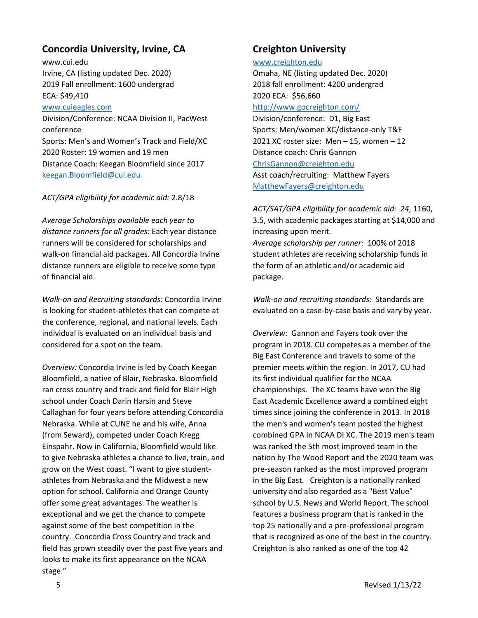## **Concordia University, Irvine, CA**

www.cui.edu Irvine, CA (listing updated Dec. 2020) 2019 Fall enrollment: 1600 undergrad ECA: \$49,410

#### www.cuieagles.com

Division/Conference: NCAA Division II, PacWest conference Sports: Men's and Women's Track and Field/XC 2020 Roster: 19 women and 19 men Distance Coach: Keegan Bloomfield since 2017 keegan.Bloomfield@cui.edu

### *ACT/GPA eligibility for academic aid:* 2.8/18

*Average Scholarships available each year to distance runners for all grades:* Each year distance runners will be considered for scholarships and walk‐on financial aid packages. All Concordia Irvine distance runners are eligible to receive some type of financial aid.

*Walk‐on and Recruiting standards:* Concordia Irvine is looking for student‐athletes that can compete at the conference, regional, and national levels. Each individual is evaluated on an individual basis and considered for a spot on the team.

*Overview:* Concordia Irvine is led by Coach Keegan Bloomfield, a native of Blair, Nebraska. Bloomfield ran cross country and track and field for Blair High school under Coach Darin Harsin and Steve Callaghan for four years before attending Concordia Nebraska. While at CUNE he and his wife, Anna (from Seward), competed under Coach Kregg Einspahr. Now in California, Bloomfield would like to give Nebraska athletes a chance to live, train, and grow on the West coast. "I want to give student‐ athletes from Nebraska and the Midwest a new option for school. California and Orange County offer some great advantages. The weather is exceptional and we get the chance to compete against some of the best competition in the country. Concordia Cross Country and track and field has grown steadily over the past five years and looks to make its first appearance on the NCAA stage."

### **Creighton University**

#### www.creighton.edu

Omaha, NE (listing updated Dec. 2020) 2018 fall enrollment: 4200 undergrad 2020 ECA: \$56,660 http://www.gocreighton.com/

Division/conference: D1, Big East Sports: Men/women XC/distance‐only T&F 2021 XC roster size: Men – 15, women – 12 Distance coach: Chris Gannon ChrisGannon@creighton.edu Asst coach/recruiting: Matthew Fayers MatthewFayers@creighton.edu

*ACT/SAT/GPA eligibility for academic aid: 24*, 1160, 3.5, with academic packages starting at \$14,000 and increasing upon merit. *Average scholarship per runner:* 100% of 2018 student athletes are receiving scholarship funds in the form of an athletic and/or academic aid package.

*Walk‐on and recruiting standards:* Standards are evaluated on a case‐by‐case basis and vary by year.

*Overview:* Gannon and Fayers took over the program in 2018. CU competes as a member of the Big East Conference and travels to some of the premier meets within the region. In 2017, CU had its first individual qualifier for the NCAA championships. The XC teams have won the Big East Academic Excellence award a combined eight times since joining the conference in 2013. In 2018 the men's and women's team posted the highest combined GPA in NCAA DI XC. The 2019 men's team was ranked the 5th most improved team in the nation by The Wood Report and the 2020 team was pre‐season ranked as the most improved program in the Big East. Creighton is a nationally ranked university and also regarded as a "Best Value" school by U.S. News and World Report. The school features a business program that is ranked in the top 25 nationally and a pre‐professional program that is recognized as one of the best in the country. Creighton is also ranked as one of the top 42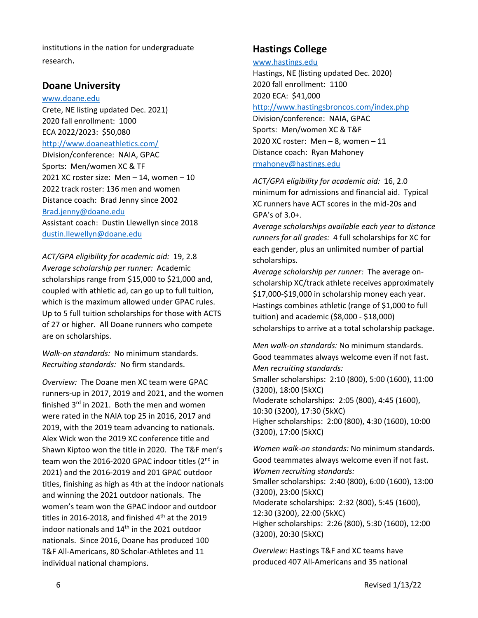institutions in the nation for undergraduate research.

### **Doane University**

#### www.doane.edu

Crete, NE listing updated Dec. 2021) 2020 fall enrollment: 1000 ECA 2022/2023: \$50,080 http://www.doaneathletics.com/

Division/conference: NAIA, GPAC Sports: Men/women XC & TF 2021 XC roster size: Men – 14, women – 10 2022 track roster: 136 men and women Distance coach: Brad Jenny since 2002 Brad.jenny@doane.edu Assistant coach: Dustin Llewellyn since 2018 dustin.llewellyn@doane.edu

*ACT/GPA eligibility for academic aid:* 19, 2.8 *Average scholarship per runner:* Academic scholarships range from \$15,000 to \$21,000 and, coupled with athletic ad, can go up to full tuition, which is the maximum allowed under GPAC rules. Up to 5 full tuition scholarships for those with ACTS of 27 or higher. All Doane runners who compete are on scholarships.

*Walk‐on standards:* No minimum standards. *Recruiting standards:* No firm standards.

*Overview:* The Doane men XC team were GPAC runners‐up in 2017, 2019 and 2021, and the women finished  $3^{rd}$  in 2021. Both the men and women were rated in the NAIA top 25 in 2016, 2017 and 2019, with the 2019 team advancing to nationals. Alex Wick won the 2019 XC conference title and Shawn Kiptoo won the title in 2020. The T&F men's team won the 2016-2020 GPAC indoor titles (2<sup>nd</sup> in 2021) and the 2016‐2019 and 201 GPAC outdoor titles, finishing as high as 4th at the indoor nationals and winning the 2021 outdoor nationals. The women's team won the GPAC indoor and outdoor titles in 2016-2018, and finished  $4<sup>th</sup>$  at the 2019 indoor nationals and 14<sup>th</sup> in the 2021 outdoor nationals. Since 2016, Doane has produced 100 T&F All‐Americans, 80 Scholar‐Athletes and 11 individual national champions.

## **Hastings College**

#### www.hastings.edu

Hastings, NE (listing updated Dec. 2020) 2020 fall enrollment: 1100 2020 ECA: \$41,000 http://www.hastingsbroncos.com/index.php Division/conference: NAIA, GPAC

Sports: Men/women XC & T&F 2020 XC roster: Men  $-8$ , women  $-11$ Distance coach: Ryan Mahoney rmahoney@hastings.edu

*ACT/GPA eligibility for academic aid:* 16, 2.0 minimum for admissions and financial aid. Typical XC runners have ACT scores in the mid‐20s and GPA's of 3.0+.

*Average scholarships available each year to distance runners for all grades:* 4 full scholarships for XC for each gender, plus an unlimited number of partial scholarships.

*Average scholarship per runner:* The average on‐ scholarship XC/track athlete receives approximately \$17,000‐\$19,000 in scholarship money each year. Hastings combines athletic (range of \$1,000 to full tuition) and academic (\$8,000 ‐ \$18,000) scholarships to arrive at a total scholarship package.

*Men walk‐on standards:* No minimum standards. Good teammates always welcome even if not fast. *Men recruiting standards:* Smaller scholarships: 2:10 (800), 5:00 (1600), 11:00

(3200), 18:00 (5kXC) Moderate scholarships: 2:05 (800), 4:45 (1600), 10:30 (3200), 17:30 (5kXC) Higher scholarships: 2:00 (800), 4:30 (1600), 10:00 (3200), 17:00 (5kXC)

*Women walk‐on standards:* No minimum standards. Good teammates always welcome even if not fast. *Women recruiting standards:* Smaller scholarships: 2:40 (800), 6:00 (1600), 13:00 (3200), 23:00 (5kXC) Moderate scholarships: 2:32 (800), 5:45 (1600), 12:30 (3200), 22:00 (5kXC) Higher scholarships: 2:26 (800), 5:30 (1600), 12:00 (3200), 20:30 (5kXC)

*Overview:* Hastings T&F and XC teams have produced 407 All‐Americans and 35 national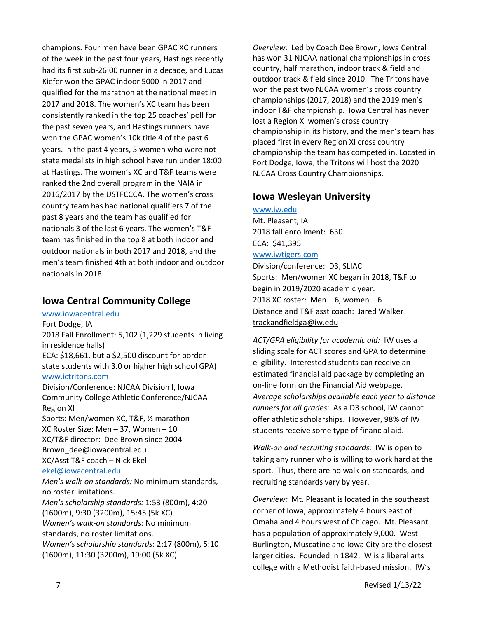champions. Four men have been GPAC XC runners of the week in the past four years, Hastings recently had its first sub‐26:00 runner in a decade, and Lucas Kiefer won the GPAC indoor 5000 in 2017 and qualified for the marathon at the national meet in 2017 and 2018. The women's XC team has been consistently ranked in the top 25 coaches' poll for the past seven years, and Hastings runners have won the GPAC women's 10k title 4 of the past 6 years. In the past 4 years, 5 women who were not state medalists in high school have run under 18:00 at Hastings. The women's XC and T&F teams were ranked the 2nd overall program in the NAIA in 2016/2017 by the USTFCCCA. The women's cross country team has had national qualifiers 7 of the past 8 years and the team has qualified for nationals 3 of the last 6 years. The women's T&F team has finished in the top 8 at both indoor and outdoor nationals in both 2017 and 2018, and the men's team finished 4th at both indoor and outdoor nationals in 2018.

### **Iowa Central Community College**

### www.iowacentral.edu

Fort Dodge, IA 2018 Fall Enrollment: 5,102 (1,229 students in living in residence halls) ECA: \$18,661, but a \$2,500 discount for border state students with 3.0 or higher high school GPA) www.ictritons.com Division/Conference: NJCAA Division I, Iowa Community College Athletic Conference/NJCAA Region XI Sports: Men/women XC, T&F, ½ marathon XC Roster Size: Men – 37, Women – 10 XC/T&F director: Dee Brown since 2004 Brown\_dee@iowacentral.edu XC/Asst T&F coach – Nick Ekel ekel@iowacentral.edu *Men's walk‐on standards:* No minimum standards, no roster limitations. *Men's scholarship standards:* 1:53 (800m), 4:20 (1600m), 9:30 (3200m), 15:45 (5k XC) *Women's walk‐on standards:* No minimum standards, no roster limitations. *Women's scholarship standards*: 2:17 (800m), 5:10 (1600m), 11:30 (3200m), 19:00 (5k XC)

*Overview:* Led by Coach Dee Brown, Iowa Central has won 31 NJCAA national championships in cross country, half marathon, indoor track & field and outdoor track & field since 2010. The Tritons have won the past two NJCAA women's cross country championships (2017, 2018) and the 2019 men's indoor T&F championship. Iowa Central has never lost a Region XI women's cross country championship in its history, and the men's team has placed first in every Region XI cross country championship the team has competed in. Located in Fort Dodge, Iowa, the Tritons will host the 2020 NJCAA Cross Country Championships.

### **Iowa Wesleyan University**

www.iw.edu Mt. Pleasant, IA 2018 fall enrollment: 630 ECA: \$41,395 www.iwtigers.com Division/conference: D3, SLIAC

Sports: Men/women XC began in 2018, T&F to begin in 2019/2020 academic year. 2018 XC roster: Men  $-6$ , women  $-6$ Distance and T&F asst coach: Jared Walker trackandfieldga@iw.edu

*ACT/GPA eligibility for academic aid:* IW uses a sliding scale for ACT scores and GPA to determine eligibility. Interested students can receive an estimated financial aid package by completing an on‐line form on the Financial Aid webpage. *Average scholarships available each year to distance runners for all grades:* As a D3 school, IW cannot offer athletic scholarships. However, 98% of IW students receive some type of financial aid.

*Walk‐on and recruiting standards:* IW is open to taking any runner who is willing to work hard at the sport. Thus, there are no walk‐on standards, and recruiting standards vary by year.

*Overview:* Mt. Pleasant is located in the southeast corner of Iowa, approximately 4 hours east of Omaha and 4 hours west of Chicago. Mt. Pleasant has a population of approximately 9,000. West Burlington, Muscatine and Iowa City are the closest larger cities. Founded in 1842, IW is a liberal arts college with a Methodist faith‐based mission. IW's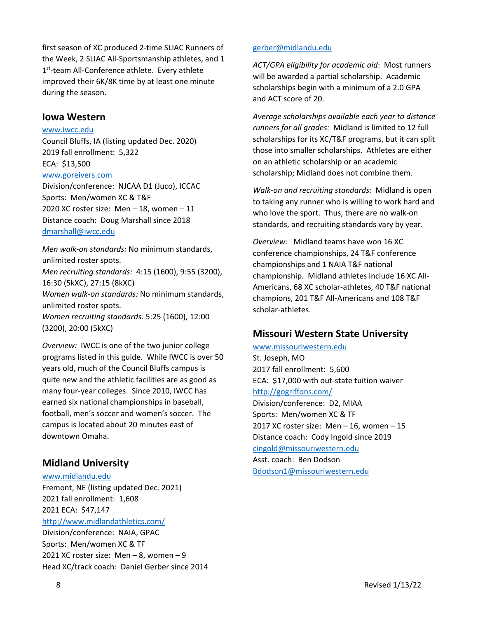first season of XC produced 2‐time SLIAC Runners of the Week, 2 SLIAC All‐Sportsmanship athletes, and 1 1<sup>st</sup>-team All-Conference athlete. Every athlete improved their 6K/8K time by at least one minute during the season.

### **Iowa Western**

#### www.iwcc.edu

Council Bluffs, IA (listing updated Dec. 2020) 2019 fall enrollment: 5,322 ECA: \$13,500

### www.goreivers.com

Division/conference: NJCAA D1 (Juco), ICCAC Sports: Men/women XC & T&F 2020 XC roster size: Men – 18, women – 11 Distance coach: Doug Marshall since 2018 dmarshall@iwcc.edu

*Men walk‐on standards:* No minimum standards, unlimited roster spots. *Men recruiting standards:* 4:15 (1600), 9:55 (3200), 16:30 (5kXC), 27:15 (8kXC) *Women walk‐on standards:* No minimum standards, unlimited roster spots. *Women recruiting standards:* 5:25 (1600), 12:00 (3200), 20:00 (5kXC)

*Overview:* IWCC is one of the two junior college programs listed in this guide. While IWCC is over 50 years old, much of the Council Bluffs campus is quite new and the athletic facilities are as good as many four‐year colleges. Since 2010, IWCC has earned six national championships in baseball, football, men's soccer and women's soccer. The campus is located about 20 minutes east of downtown Omaha.

## **Midland University**

### www.midlandu.edu

Fremont, NE (listing updated Dec. 2021) 2021 fall enrollment: 1,608 2021 ECA: \$47,147

http://www.midlandathletics.com/

Division/conference: NAIA, GPAC Sports: Men/women XC & TF 2021 XC roster size: Men – 8, women – 9 Head XC/track coach: Daniel Gerber since 2014

### gerber@midlandu.edu

*ACT/GPA eligibility for academic aid*: Most runners will be awarded a partial scholarship. Academic scholarships begin with a minimum of a 2.0 GPA and ACT score of 20.

*Average scholarships available each year to distance runners for all grades:* Midland is limited to 12 full scholarships for its XC/T&F programs, but it can split those into smaller scholarships. Athletes are either on an athletic scholarship or an academic scholarship; Midland does not combine them.

*Walk‐on and recruiting standards:* Midland is open to taking any runner who is willing to work hard and who love the sport. Thus, there are no walk‐on standards, and recruiting standards vary by year.

*Overview:* Midland teams have won 16 XC conference championships, 24 T&F conference championships and 1 NAIA T&F national championship. Midland athletes include 16 XC All‐ Americans, 68 XC scholar‐athletes, 40 T&F national champions, 201 T&F All‐Americans and 108 T&F scholar‐athletes.

## **Missouri Western State University**

#### www.missouriwestern.edu

St. Joseph, MO 2017 fall enrollment: 5,600 ECA: \$17,000 with out‐state tuition waiver http://gogriffons.com/ Division/conference: D2, MIAA Sports: Men/women XC & TF 2017 XC roster size: Men – 16, women – 15 Distance coach: Cody Ingold since 2019 cingold@missouriwestern.edu Asst. coach: Ben Dodson Bdodson1@missouriwestern.edu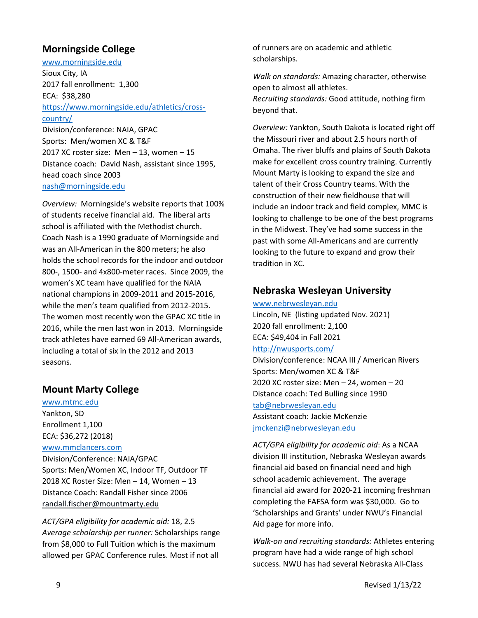## **Morningside College**

www.morningside.edu Sioux City, IA 2017 fall enrollment: 1,300 ECA: \$38,280 https://www.morningside.edu/athletics/cross‐ country/ Division/conference: NAIA, GPAC Sports: Men/women XC & T&F 2017 XC roster size: Men – 13, women – 15 Distance coach: David Nash, assistant since 1995, head coach since 2003 nash@morningside.edu

*Overview:* Morningside's website reports that 100% of students receive financial aid. The liberal arts school is affiliated with the Methodist church. Coach Nash is a 1990 graduate of Morningside and was an All‐American in the 800 meters; he also holds the school records for the indoor and outdoor 800‐, 1500‐ and 4x800‐meter races. Since 2009, the women's XC team have qualified for the NAIA national champions in 2009‐2011 and 2015‐2016, while the men's team qualified from 2012‐2015. The women most recently won the GPAC XC title in 2016, while the men last won in 2013. Morningside track athletes have earned 69 All‐American awards, including a total of six in the 2012 and 2013 seasons.

## **Mount Marty College**

www.mtmc.edu Yankton, SD Enrollment 1,100 ECA: \$36,272 (2018) www.mmclancers.com Division/Conference: NAIA/GPAC Sports: Men/Women XC, Indoor TF, Outdoor TF 2018 XC Roster Size: Men – 14, Women – 13 Distance Coach: Randall Fisher since 2006 randall.fischer@mountmarty.edu

*ACT/GPA eligibility for academic aid:* 18, 2.5 *Average scholarship per runner:* Scholarships range from \$8,000 to Full Tuition which is the maximum allowed per GPAC Conference rules. Most if not all

of runners are on academic and athletic scholarships.

*Walk on standards:* Amazing character, otherwise open to almost all athletes. *Recruiting standards:* Good attitude, nothing firm beyond that.

*Overview:* Yankton, South Dakota is located right off the Missouri river and about 2.5 hours north of Omaha. The river bluffs and plains of South Dakota make for excellent cross country training. Currently Mount Marty is looking to expand the size and talent of their Cross Country teams. With the construction of their new fieldhouse that will include an indoor track and field complex, MMC is looking to challenge to be one of the best programs in the Midwest. They've had some success in the past with some All‐Americans and are currently looking to the future to expand and grow their tradition in XC.

## **Nebraska Wesleyan University**

#### www.nebrwesleyan.edu

Lincoln, NE (listing updated Nov. 2021) 2020 fall enrollment: 2,100 ECA: \$49,404 in Fall 2021

#### http://nwusports.com/

Division/conference: NCAA III / American Rivers Sports: Men/women XC & T&F 2020 XC roster size: Men – 24, women – 20 Distance coach: Ted Bulling since 1990 tab@nebrwesleyan.edu Assistant coach: Jackie McKenzie jmckenzi@nebrwesleyan.edu

*ACT/GPA eligibility for academic aid*: As a NCAA division III institution, Nebraska Wesleyan awards financial aid based on financial need and high school academic achievement. The average financial aid award for 2020‐21 incoming freshman completing the FAFSA form was \$30,000. Go to 'Scholarships and Grants' under NWU's Financial Aid page for more info.

*Walk‐on and recruiting standards:* Athletes entering program have had a wide range of high school success. NWU has had several Nebraska All‐Class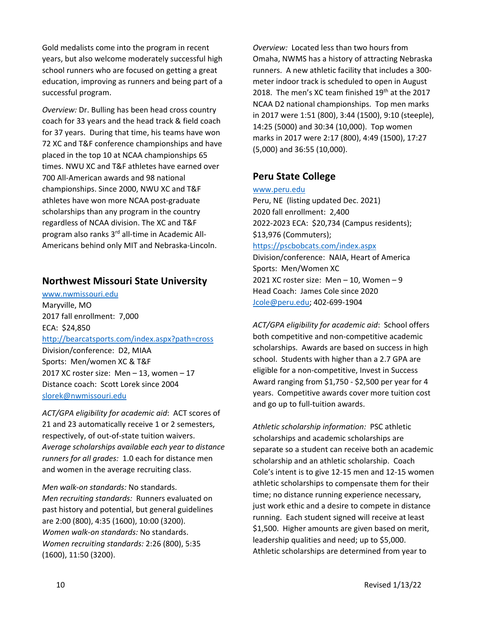Gold medalists come into the program in recent years, but also welcome moderately successful high school runners who are focused on getting a great education, improving as runners and being part of a successful program.

*Overview:* Dr. Bulling has been head cross country coach for 33 years and the head track & field coach for 37 years. During that time, his teams have won 72 XC and T&F conference championships and have placed in the top 10 at NCAA championships 65 times. NWU XC and T&F athletes have earned over 700 All‐American awards and 98 national championships. Since 2000, NWU XC and T&F athletes have won more NCAA post‐graduate scholarships than any program in the country regardless of NCAA division. The XC and T&F program also ranks 3rd all‐time in Academic All‐ Americans behind only MIT and Nebraska‐Lincoln.

### **Northwest Missouri State University**

www.nwmissouri.edu Maryville, MO 2017 fall enrollment: 7,000 ECA: \$24,850 http://bearcatsports.com/index.aspx?path=cross Division/conference: D2, MIAA Sports: Men/women XC & T&F 2017 XC roster size: Men – 13, women – 17 Distance coach: Scott Lorek since 2004 slorek@nwmissouri.edu

*ACT/GPA eligibility for academic aid*: ACT scores of 21 and 23 automatically receive 1 or 2 semesters, respectively, of out‐of‐state tuition waivers. *Average scholarships available each year to distance runners for all grades:* 1.0 each for distance men and women in the average recruiting class.

*Men walk‐on standards:* No standards. *Men recruiting standards:* Runners evaluated on past history and potential, but general guidelines are 2:00 (800), 4:35 (1600), 10:00 (3200). *Women walk‐on standards:* No standards. *Women recruiting standards:* 2:26 (800), 5:35 (1600), 11:50 (3200).

*Overview:* Located less than two hours from Omaha, NWMS has a history of attracting Nebraska runners. A new athletic facility that includes a 300‐ meter indoor track is scheduled to open in August 2018. The men's XC team finished 19<sup>th</sup> at the 2017 NCAA D2 national championships. Top men marks in 2017 were 1:51 (800), 3:44 (1500), 9:10 (steeple), 14:25 (5000) and 30:34 (10,000). Top women marks in 2017 were 2:17 (800), 4:49 (1500), 17:27 (5,000) and 36:55 (10,000).

### **Peru State College**

www.peru.edu

Peru, NE (listing updated Dec. 2021) 2020 fall enrollment: 2,400 2022‐2023 ECA: \$20,734 (Campus residents); \$13,976 (Commuters); https://pscbobcats.com/index.aspx Division/conference: NAIA, Heart of America Sports: Men/Women XC 2021 XC roster size: Men – 10, Women – 9 Head Coach: James Cole since 2020

Jcole@peru.edu; 402‐699‐1904

*ACT/GPA eligibility for academic aid*: School offers both competitive and non‐competitive academic scholarships. Awards are based on success in high school. Students with higher than a 2.7 GPA are eligible for a non‐competitive, Invest in Success Award ranging from \$1,750 ‐ \$2,500 per year for 4 years. Competitive awards cover more tuition cost and go up to full‐tuition awards.

*Athletic scholarship information:* PSC athletic scholarships and academic scholarships are separate so a student can receive both an academic scholarship and an athletic scholarship. Coach Cole's intent is to give 12‐15 men and 12‐15 women athletic scholarships to compensate them for their time; no distance running experience necessary, just work ethic and a desire to compete in distance running. Each student signed will receive at least \$1,500. Higher amounts are given based on merit, leadership qualities and need; up to \$5,000. Athletic scholarships are determined from year to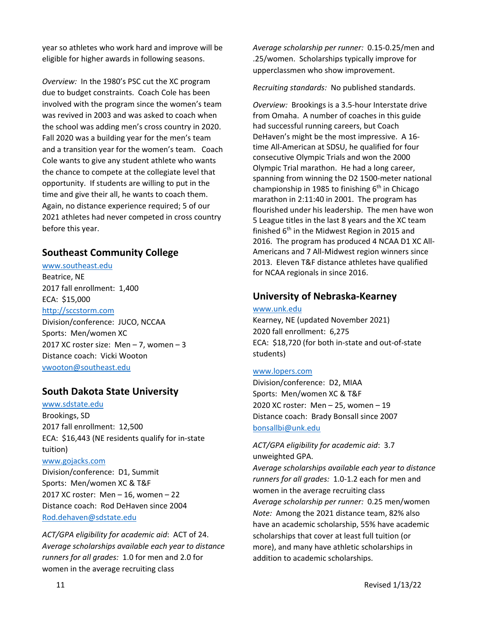year so athletes who work hard and improve will be eligible for higher awards in following seasons.

*Overview:* In the 1980's PSC cut the XC program due to budget constraints. Coach Cole has been involved with the program since the women's team was revived in 2003 and was asked to coach when the school was adding men's cross country in 2020. Fall 2020 was a building year for the men's team and a transition year for the women's team. Coach Cole wants to give any student athlete who wants the chance to compete at the collegiate level that opportunity. If students are willing to put in the time and give their all, he wants to coach them. Again, no distance experience required; 5 of our 2021 athletes had never competed in cross country before this year.

### **Southeast Community College**

www.southeast.edu Beatrice, NE 2017 fall enrollment: 1,400 ECA: \$15,000 http://sccstorm.com Division/conference: JUCO, NCCAA Sports: Men/women XC 2017 XC roster size: Men – 7, women – 3 Distance coach: Vicki Wooton

vwooton@southeast.edu

### **South Dakota State University**

www.sdstate.edu Brookings, SD 2017 fall enrollment: 12,500 ECA: \$16,443 (NE residents qualify for in‐state tuition) www.gojacks.com Division/conference: D1, Summit Sports: Men/women XC & T&F 2017 XC roster: Men – 16, women – 22 Distance coach: Rod DeHaven since 2004

Rod.dehaven@sdstate.edu

*ACT/GPA eligibility for academic aid*: ACT of 24. *Average scholarships available each year to distance runners for all grades:* 1.0 for men and 2.0 for women in the average recruiting class

*Average scholarship per runner:* 0.15‐0.25/men and .25/women. Scholarships typically improve for upperclassmen who show improvement.

*Recruiting standards:* No published standards.

*Overview:* Brookings is a 3.5‐hour Interstate drive from Omaha. A number of coaches in this guide had successful running careers, but Coach DeHaven's might be the most impressive. A 16‐ time All‐American at SDSU, he qualified for four consecutive Olympic Trials and won the 2000 Olympic Trial marathon. He had a long career, spanning from winning the D2 1500‐meter national championship in 1985 to finishing  $6<sup>th</sup>$  in Chicago marathon in 2:11:40 in 2001. The program has flourished under his leadership. The men have won 5 League titles in the last 8 years and the XC team finished  $6<sup>th</sup>$  in the Midwest Region in 2015 and 2016. The program has produced 4 NCAA D1 XC All‐ Americans and 7 All‐Midwest region winners since 2013. Eleven T&F distance athletes have qualified for NCAA regionals in since 2016.

### **University of Nebraska‐Kearney**

www.unk.edu

Kearney, NE (updated November 2021) 2020 fall enrollment: 6,275 ECA: \$18,720 (for both in‐state and out‐of‐state students)

#### www.lopers.com

Division/conference: D2, MIAA Sports: Men/women XC & T&F 2020 XC roster: Men – 25, women – 19 Distance coach: Brady Bonsall since 2007 bonsallbi@unk.edu

*ACT/GPA eligibility for academic aid*: 3.7 unweighted GPA.

*Average scholarships available each year to distance runners for all grades:* 1.0‐1.2 each for men and women in the average recruiting class *Average scholarship per runner:* 0.25 men/women *Note:* Among the 2021 distance team, 82% also have an academic scholarship, 55% have academic scholarships that cover at least full tuition (or more), and many have athletic scholarships in addition to academic scholarships.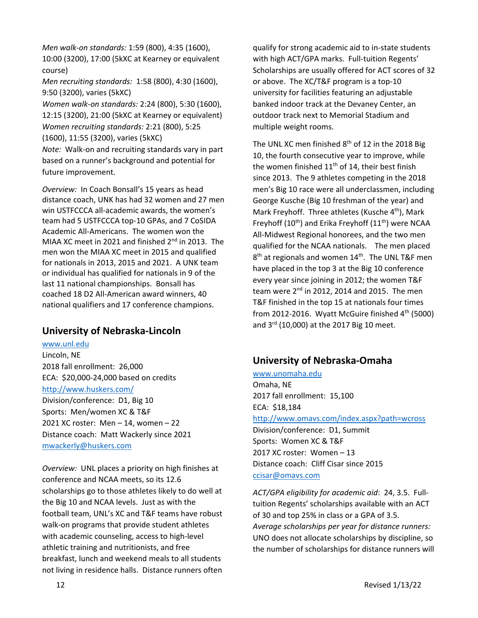*Men walk‐on standards:* 1:59 (800), 4:35 (1600), 10:00 (3200), 17:00 (5kXC at Kearney or equivalent course) *Men recruiting standards:* 1:58 (800), 4:30 (1600), 9:50 (3200), varies (5kXC)

*Women walk‐on standards:* 2:24 (800), 5:30 (1600), 12:15 (3200), 21:00 (5kXC at Kearney or equivalent) *Women recruiting standards:* 2:21 (800), 5:25 (1600), 11:55 (3200), varies (5kXC) *Note:* Walk‐on and recruiting standards vary in part based on a runner's background and potential for

future improvement.

*Overview:* In Coach Bonsall's 15 years as head distance coach, UNK has had 32 women and 27 men win USTFCCCA all‐academic awards, the women's team had 5 USTFCCCA top‐10 GPAs, and 7 CoSIDA Academic All‐Americans. The women won the MIAA XC meet in 2021 and finished 2<sup>nd</sup> in 2013. The men won the MIAA XC meet in 2015 and qualified for nationals in 2013, 2015 and 2021. A UNK team or individual has qualified for nationals in 9 of the last 11 national championships. Bonsall has coached 18 D2 All‐American award winners, 40 national qualifiers and 17 conference champions.

## **University of Nebraska‐Lincoln**

www.unl.edu Lincoln, NE 2018 fall enrollment: 26,000 ECA: \$20,000‐24,000 based on credits http://www.huskers.com/ Division/conference: D1, Big 10 Sports: Men/women XC & T&F 2021 XC roster: Men – 14, women – 22 Distance coach: Matt Wackerly since 2021 mwackerly@huskers.com

*Overview:* UNL places a priority on high finishes at conference and NCAA meets, so its 12.6 scholarships go to those athletes likely to do well at the Big 10 and NCAA levels. Just as with the football team, UNL's XC and T&F teams have robust walk‐on programs that provide student athletes with academic counseling, access to high‐level athletic training and nutritionists, and free breakfast, lunch and weekend meals to all students not living in residence halls. Distance runners often

qualify for strong academic aid to in‐state students with high ACT/GPA marks. Full-tuition Regents' Scholarships are usually offered for ACT scores of 32 or above. The XC/T&F program is a top‐10 university for facilities featuring an adjustable banked indoor track at the Devaney Center, an outdoor track next to Memorial Stadium and multiple weight rooms.

The UNL XC men finished  $8<sup>th</sup>$  of 12 in the 2018 Big 10, the fourth consecutive year to improve, while the women finished  $11<sup>th</sup>$  of 14, their best finish since 2013. The 9 athletes competing in the 2018 men's Big 10 race were all underclassmen, including George Kusche (Big 10 freshman of the year) and Mark Freyhoff. Three athletes (Kusche  $4<sup>th</sup>$ ), Mark Freyhoff ( $10^{th}$ ) and Erika Freyhoff ( $11^{th}$ ) were NCAA All‐Midwest Regional honorees, and the two men qualified for the NCAA nationals. The men placed  $8<sup>th</sup>$  at regionals and women  $14<sup>th</sup>$ . The UNL T&F men have placed in the top 3 at the Big 10 conference every year since joining in 2012; the women T&F team were  $2<sup>nd</sup>$  in 2012, 2014 and 2015. The men T&F finished in the top 15 at nationals four times from 2012-2016. Wyatt McGuire finished  $4<sup>th</sup>$  (5000) and 3rd (10,000) at the 2017 Big 10 meet.

## **University of Nebraska‐Omaha**

www.unomaha.edu Omaha, NE 2017 fall enrollment: 15,100 ECA: \$18,184 http://www.omavs.com/index.aspx?path=wcross Division/conference: D1, Summit Sports: Women XC & T&F 2017 XC roster: Women – 13 Distance coach: Cliff Cisar since 2015 ccisar@omavs.com

*ACT/GPA eligibility for academic aid*: 24, 3.5. Full‐ tuition Regents' scholarships available with an ACT of 30 and top 25% in class or a GPA of 3.5. *Average scholarships per year for distance runners:* UNO does not allocate scholarships by discipline, so the number of scholarships for distance runners will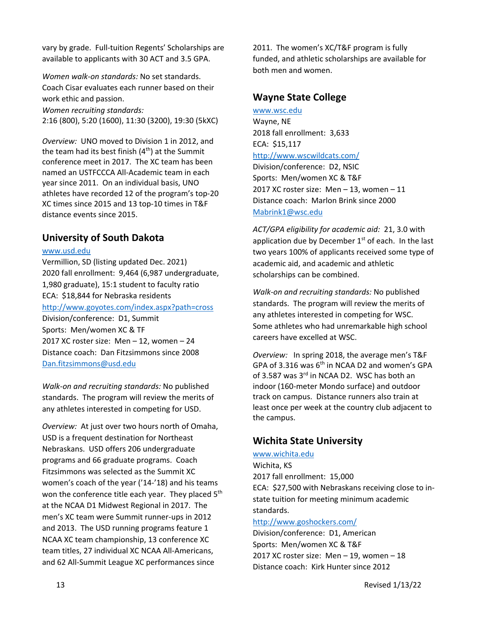vary by grade. Full‐tuition Regents' Scholarships are available to applicants with 30 ACT and 3.5 GPA.

*Women walk‐on standards:* No set standards. Coach Cisar evaluates each runner based on their work ethic and passion. *Women recruiting standards:* 2:16 (800), 5:20 (1600), 11:30 (3200), 19:30 (5kXC)

*Overview:* UNO moved to Division 1 in 2012, and the team had its best finish  $(4<sup>th</sup>)$  at the Summit conference meet in 2017. The XC team has been named an USTFCCCA All‐Academic team in each year since 2011. On an individual basis, UNO athletes have recorded 12 of the program's top‐20 XC times since 2015 and 13 top‐10 times in T&F distance events since 2015.

## **University of South Dakota**

### www.usd.edu

Vermillion, SD (listing updated Dec. 2021) 2020 fall enrollment: 9,464 (6,987 undergraduate, 1,980 graduate), 15:1 student to faculty ratio ECA: \$18,844 for Nebraska residents http://www.goyotes.com/index.aspx?path=cross Division/conference: D1, Summit Sports: Men/women XC & TF 2017 XC roster size: Men – 12, women – 24 Distance coach: Dan Fitzsimmons since 2008 Dan.fitzsimmons@usd.edu

*Walk‐on and recruiting standards:* No published standards. The program will review the merits of any athletes interested in competing for USD.

*Overview:* At just over two hours north of Omaha, USD is a frequent destination for Northeast Nebraskans. USD offers 206 undergraduate programs and 66 graduate programs. Coach Fitzsimmons was selected as the Summit XC women's coach of the year ('14‐'18) and his teams won the conference title each year. They placed 5<sup>th</sup> at the NCAA D1 Midwest Regional in 2017. The men's XC team were Summit runner‐ups in 2012 and 2013. The USD running programs feature 1 NCAA XC team championship, 13 conference XC team titles, 27 individual XC NCAA All‐Americans, and 62 All‐Summit League XC performances since

2011. The women's XC/T&F program is fully funded, and athletic scholarships are available for both men and women.

### **Wayne State College**

www.wsc.edu Wayne, NE 2018 fall enrollment: 3,633 ECA: \$15,117 http://www.wscwildcats.com/ Division/conference: D2, NSIC Sports: Men/women XC & T&F 2017 XC roster size: Men – 13, women – 11 Distance coach: Marlon Brink since 2000 Mabrink1@wsc.edu

*ACT/GPA eligibility for academic aid:* 21, 3.0 with application due by December  $1<sup>st</sup>$  of each. In the last two years 100% of applicants received some type of academic aid, and academic and athletic scholarships can be combined.

*Walk‐on and recruiting standards:* No published standards. The program will review the merits of any athletes interested in competing for WSC. Some athletes who had unremarkable high school careers have excelled at WSC.

*Overview:* In spring 2018, the average men's T&F GPA of 3.316 was 6<sup>th</sup> in NCAA D2 and women's GPA of 3.587 was 3<sup>rd</sup> in NCAA D2. WSC has both an indoor (160‐meter Mondo surface) and outdoor track on campus. Distance runners also train at least once per week at the country club adjacent to the campus.

## **Wichita State University**

### www.wichita.edu

Wichita, KS 2017 fall enrollment: 15,000 ECA: \$27,500 with Nebraskans receiving close to in‐ state tuition for meeting minimum academic standards.

### http://www.goshockers.com/

Division/conference: D1, American Sports: Men/women XC & T&F 2017 XC roster size: Men – 19, women – 18 Distance coach: Kirk Hunter since 2012